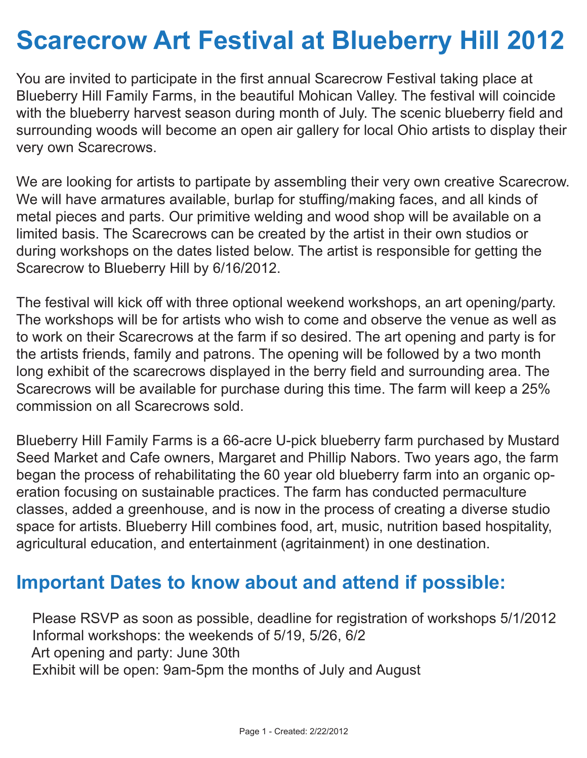## **Scarecrow Art Festival at Blueberry Hill 2012**

You are invited to participate in the first annual Scarecrow Festival taking place at Blueberry Hill Family Farms, in the beautiful Mohican Valley. The festival will coincide with the blueberry harvest season during month of July. The scenic blueberry field and surrounding woods will become an open air gallery for local Ohio artists to display their very own Scarecrows.

We are looking for artists to partipate by assembling their very own creative Scarecrow. We will have armatures available, burlap for stuffing/making faces, and all kinds of metal pieces and parts. Our primitive welding and wood shop will be available on a limited basis. The Scarecrows can be created by the artist in their own studios or during workshops on the dates listed below. The artist is responsible for getting the Scarecrow to Blueberry Hill by 6/16/2012.

The festival will kick off with three optional weekend workshops, an art opening/party. The workshops will be for artists who wish to come and observe the venue as well as to work on their Scarecrows at the farm if so desired. The art opening and party is for the artists friends, family and patrons. The opening will be followed by a two month long exhibit of the scarecrows displayed in the berry field and surrounding area. The Scarecrows will be available for purchase during this time. The farm will keep a 25% commission on all Scarecrows sold.

Blueberry Hill Family Farms is a 66-acre U-pick blueberry farm purchased by Mustard Seed Market and Cafe owners, Margaret and Phillip Nabors. Two years ago, the farm began the process of rehabilitating the 60 year old blueberry farm into an organic operation focusing on sustainable practices. The farm has conducted permaculture classes, added a greenhouse, and is now in the process of creating a diverse studio space for artists. Blueberry Hill combines food, art, music, nutrition based hospitality, agricultural education, and entertainment (agritainment) in one destination.

## **Important Dates to know about and attend if possible:**

 Please RSVP as soon as possible, deadline for registration of workshops 5/1/2012 Informal workshops: the weekends of 5/19, 5/26, 6/2 Art opening and party: June 30th Exhibit will be open: 9am-5pm the months of July and August